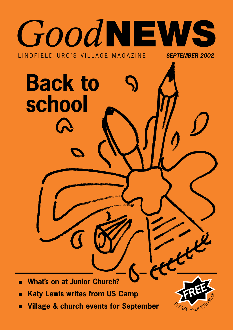

**Village & church events for September** П

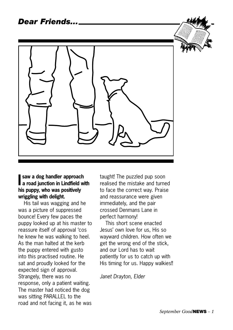

#### **I a road junction in Lindfield with saw a dog handler approach his puppy, who was positively wriggling with delight.**

His tail was wagging and he was a picture of suppressed bounce! Every few paces the puppy looked up at his master to reassure itself of approval 'cos he knew he was walking to heel. As the man halted at the kerb the puppy entered with gusto into this practised routine. He sat and proudly looked for the expected sign of approval. Strangely, there was no response, only a patient waiting. The master had noticed the dog was sitting PARALLEL to the road and not facing it, as he was

taught! The puzzled pup soon realised the mistake and turned to face the correct way. Praise and reassurance were given immediately, and the pair crossed Denmans Lane in perfect harmony!

This short scene enacted Jesus' own love for us, His so wayward children. How often we get the wrong end of the stick, and our Lord has to wait patiently for us to catch up with His timing for us. Happy walkies!!

*Janet Drayton, Elder*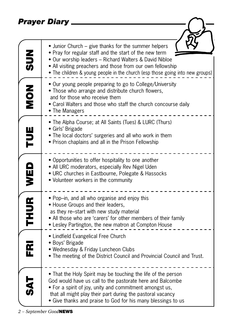*Prayer Diary*

|                    | Prayer Diary                                                                                                                                                                                                                                                                                                            |
|--------------------|-------------------------------------------------------------------------------------------------------------------------------------------------------------------------------------------------------------------------------------------------------------------------------------------------------------------------|
|                    |                                                                                                                                                                                                                                                                                                                         |
| NUS<br>S           | • Junior Church – give thanks for the summer helpers<br>• Pray for regular staff and the start of the new term<br>• Our worship leaders - Richard Walters & David Nibloe<br>• All visiting preachers and those from our own fellowship<br>• The children & young people in the church (esp those going into new groups) |
| NON<br>None        | • Our young people preparing to go to College/University<br>• Those who arrange and distribute church flowers,<br>and for those who receive them<br>• Carol Walters and those who staff the church concourse daily<br>• The Managers                                                                                    |
| TUE                | • The Alpha Course; at All Saints (Tues) & LURC (Thurs)<br>• Girls' Brigade<br>• The local doctors' surgeries and all who work in them<br>• Prison chaplains and all in the Prison Fellowship                                                                                                                           |
| WED                | • Opportunities to offer hospitality to one another<br>• All URC moderators, especially Rev Nigel Uden<br>• URC churches in Eastbourne, Polegate & Hassocks<br>• Volunteer workers in the community                                                                                                                     |
| <b>THUR</b>        | • Pop-in, and all who organise and enjoy this<br>• House Groups and their leaders,<br>as they re-start with new study material<br>• All those who are 'carers' for other members of their family<br>• Lesley Partington, the new matron at Compton House                                                                |
| $\mathbf{\bar{g}}$ | • Lindfield Evangelical Free Church<br>· Boys' Brigade<br>• Wednesday & Friday Luncheon Clubs<br>. The meeting of the District Council and Provincial Council and Trust.                                                                                                                                                |
|                    | • That the Holy Spirit may be touching the life of the person<br>God would have us call to the pastorate here and Balcombe<br>• For a spirit of joy, unity and commitment amongst us,<br>that all might play their part during the pastoral vacancy<br>• Give thanks and praise to God for his many blessings to us     |

 $\overline{\phantom{a}}$ 

」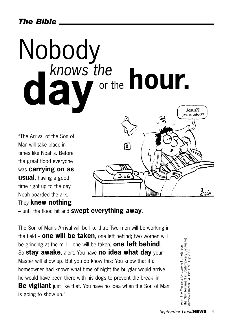### *The Bible*

## Nobody<br>
Knows the knows the **hour. day**Jesus??

"The Arrival of the Son of Man will take place in times like Noah's. Before the great flood everyone was **carrying on as usual**, having a good time right up to the day Noah boarded the ark. They **knew nothing**



– until the flood hit and **swept everything away**.

The Son of Man's Arrival will be like that: Two men will be working in the field – **one will be taken**, one left behind; two women will be grinding at the mill – one will be taken, **one left behind**. So **stay awake**, alert. You have **no idea what day** your Master will show up. But you do know this: You know that if a homeowner had known what time of night the burglar would arrive, he would have been there with his dogs to prevent the break–in. **Be vigilant** just like that. You have no idea when the Son of Man is going to show up."

(The New Testament in Contemporary Language) (The New Testament in Contemporary Language)<br>Matthew Chapter 24. Pic: CNS July 2002 From: The Message by Eugene H. Peterson From: The Message by Eugene H. Peterson Matthew Chapter 24. Pic: CNS July 2002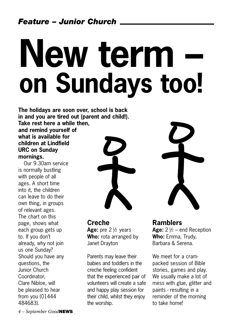# **New term – on Sundays too!**

**The holidays are soon over, school is back in and you are tired out (parent and child!). Take rest here a while then,**

**and remind yourself of what is available for children at Lindfield URC on Sunday mornings.** 

Our 9.30am service is normally bustling with people of all ages. A short time into it, the children can leave to do their own thing, in groups of relevant ages. The chart on this page, shows what each group gets up to. If you don't already, why not join us one Sunday? Should you have any questions, the Junior Church Coordinator, Clare Nibloe, will be pleased to hear from you (01444 484683).



**Creche Age:** pre 2 ½ years **Who:** rota arranged by Janet Drayton

Parents may leave their babies and toddlers in the creche feeling confident that the experienced pair of volunteers will create a safe and happy play session for their child, whilst they enjoy the worship.



**Ramblers Age:** 2 ½ – end Reception **Who:** Emma, Trudy, Barbara & Serena.

We meet for a crampacked session of Bible stories, games and play. We usually make a lot of mess with glue, glitter and paints - resulting in a reminder of the morning to take home!

*4 – September Good***NEWS**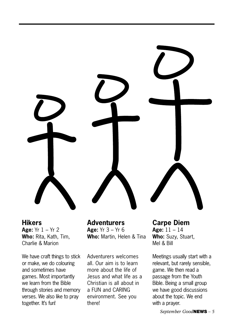

**Hikers Age:** Yr 1 – Yr 2 **Who:** Rita, Kath, Tim, Charlie & Marion

We have craft things to stick or make, we do colouring and sometimes have games. Most importantly we learn from the Bible through stories and memory verses. We also like to pray together. It's fun!

**Adventurers Age:** Yr 3 – Yr 6 **Who:** Martin, Helen & Tina

Adventurers welcomes all. Our aim is to learn more about the life of Jesus and what life as a Christian is all about in a FUN and CARING environment. See you there!

**Carpe Diem Age:** 11 – 14 **Who:** Suzy, Stuart, Mel & Bill

Meetings usually start with a relevant, but rarely sensible, game. We then read a passage from the Youth Bible. Being a small group we have good discussions about the topic. We end with a prayer.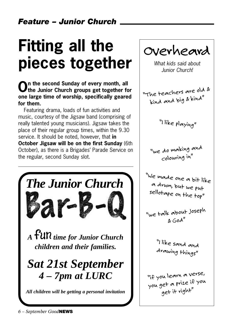## **Fitting all the pieces together**

### **On the second Sunday of every month, all the Junior Church groups get together for one large time of worship, specifically geared for them.**

Featuring drama, loads of fun activities and music, courtesy of the Jigsaw band (comprising of really talented young musicians). Jigsaw takes the place of their regular group times, within the 9.30 service. It should be noted, however, that **in October Jigsaw will be on the first Sunday** (6th October), as there is a Brigades' Parade Service on the regular, second Sunday slot.



*Overheard*

*What kids said about Junior Church!*

*"The teachers are old & kind and big & kind"*

*"I like playing"*

*"we do making and colouring in"*

*"We made one a bit like a drum, but we put sellotape on the top"*

*"we talk about Joseph & God"*

> *"I like sand and drawing things"*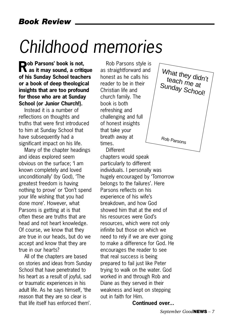## *Childhood memories*

**Rob Parsons' book is not, as it may sound, a critique of his Sunday School teachers or a book of deep theological insights that are too profound for those who are at Sunday School (or Junior Church!).** 

Instead it is a number of reflections on thoughts and truths that were first introduced to him at Sunday School that have subsequently had a significant impact on his life.

Many of the chapter headings and ideas explored seem obvious on the surface; 'I am known completely and loved unconditionally' (by God), 'The greatest freedom is having nothing to prove' or 'Don't spend your life wishing that you had done more'. However, what Parsons is getting at is that often these are truths that are head and not heart knowledge. Of course, we know that they are true in our heads, but do we accept and know that they are true in our hearts?

All of the chapters are based on stories and ideas from Sunday School that have penetrated to his heart as a result of joyful, sad or traumatic experiences in his adult life. As he says himself, 'the reason that they are so clear is that life itself has enforced them'.

Rob Parsons style is as straightforward and honest as he calls his reader to be in their Christian life and church family. The book is both refreshing and challenging and full of honest insights that take your breath away at times.

**Different** chapters would speak particularly to different individuals. I personally was hugely encouraged by 'Tomorrow belongs to the failures'. Here Parsons reflects on his experience of his wife's breakdown, and how God showed him that at the end of his resources were God's resources, which were not only infinite but those on which we need to rely if we are ever going to make a difference for God. He encourages the reader to see that real success is being prepared to fail just like Peter trying to walk on the water. God worked in and through Rob and Diane as they served in their weakness and kept on stepping out in faith for Him.



What they didn't teach me at Sunday School! Rob Parsons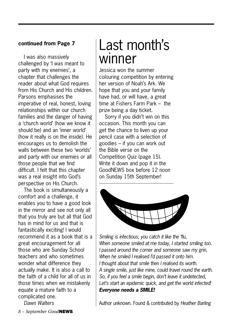#### **continued from Page 7**

I was also massively challenged by 'I was meant to party with my enemies', a chapter that challenges the reader about what God requires from His Church and His children. Parsons emphasises the imperative of real, honest, loving relationships within our church families and the danger of having a 'church world' (how we know it should be) and an 'inner world' (how it really is on the inside). He encourages us to demolish the walls between these two 'worlds' and party with our enemies or all those people that we find difficult. I felt that this chapter was a real insight into God's perspective on His Church.

The book is simultaneously a comfort and a challenge, it enables you to have a good look in the mirror and see not only all that you truly are but all that God has in mind for us and that is fantastically exciting! I would recommend it as a book that is a great encouragement for all those who are Sunday School teachers and who sometimes wonder what difference they actually make. It is also a call to the faith of a child for all of us in those times when we mistakenly equate a mature faith to a complicated one.

*Dawn Walters*

## Last month's winner

Jessica won the summer colouring competition by entering her version of Noah's Ark. We hope that you and your family have had, or will have, a great time at Fishers Farm Park – the prize being a day ticket.

Sorry if you didn't win on this occasion. This month you can get the chance to liven up your pencil case with a selection of goodies – if you can work out the Bible verse on the Competition Quiz (page 15). Write it down and pop it in the GoodNEWS box before 12 noon on Sunday 15th September!



*Smiling is infectious; you catch it like the 'flu, When someone smiled at me today, I started smiling too. I passed around the corner and someone saw my grin, When he smiled I realised I'd passed it onto him. I thought about that smile then I realised its worth. A single smile, just like mine, could travel round the earth. So, if you feel a smile begin, don't leave it undetected, Let's start an epidemic quick, and get the world infected! Everyone needs a SMILE!*

Author unknown. Found & contributed by *Heather Barling*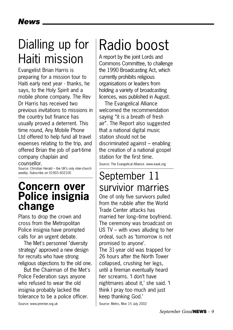## Dialling up for Haiti mission

Evangelist Brian Harris is preparing for a mission tour to Haiti early next year - thanks, he says, to the Holy Spirit and a mobile phone company. The Rev Dr Harris has received two previous invitations to missions in the country but finance has usually proved a deterrent. This time round, Any Mobile Phone Ltd offered to help fund all travel expenses relating to the trip, and offered Brian the job of part-time company chaplain and

counsellor.

Source: Christian Herald – the UK's only inter-church weekly. Subscribe on 01903 602100

### **Concern over Police insignia change**

Plans to drop the crown and cross from the Metropolitan Police insignia have prompted calls for an urgent debate.

The Met's personnel "diversity strategy" approved a new design for recruits who have strong religious objections to the old one.

But the Chairman of the Met's Police Federation says anyone who refused to wear the old insignia probably lacked the tolerance to be a police officer.

#### Source: www.premier.org.uk

## Radio boost

A report by the joint Lords and Commons Committee, to challenge the 1990 Broadcasting Act, which currently prohibits religious organisations or leaders from holding a variety of broadcasting licences, was published in August.

The Evangelical Alliance welcomed the recommendation saying "it is a breath of fresh air". The Report also suggested that a national digital music station should not be discriminated against – enabling the creation of a national gospel station for the first time.

Source: The Evangelical Alliance. www.eauk.org

### September 11 survivior marries

One of only five survivors pulled from the rubble after the World Trade Center attacks has married her long–time boyfriend. The ceremony was broadcast on US TV – with vows alluding to her ordeal, such as 'tomorrow is not promised to anyone'.

The 31-year old was trapped for 26 hours after the North Tower collapsed, crushing her legs, until a fireman eventually heard her screams. 'I don't have nightmares about it,' she said. 'I think I pray too much and just keep thanking God.'

Source: Metro, Mon 15 July 2002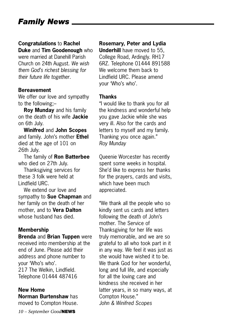### *Family News*

#### **Congratulations** to **Rachel**

**Duke** and **Tim Goodenough** who were married at Danehill Parish Church on 24th August. *We wish them God's richest blessing for their future life together.*

#### **Bereavement**

We offer our love and sympathy to the following;–

**Roy Munday** and his family on the death of his wife **Jackie** on 6th July.

**Winifred** and **John Scopes** and family. John's mother **Ethel** died at the age of 101 on 26th July.

The family of **Ron Batterbee** who died on 27th July.

Thanksgiving services for these 3 folk were held at Lindfield URC.

We extend our love and sympathy to **Sue Chapman** and her family on the death of her mother, and to **Vera Dalton** whose husband has died.

#### **Membership**

**Brenda** and **Brian Tuppen** were received into membership at the end of June. Please add their address and phone number to your 'Who's who'. 217 The Welkin, Lindfield. Telephone 01444 487416

#### **New Home**

**Norman Burtenshaw** has moved to Compton House.

*10 – September Good***NEWS**

#### **Rosemary, Peter and Lydia**

**Underhill** have moved to 55, College Road, Ardingly. RH17 6RZ. Telephone 01444 891588 We welcome them back to Lindfield URC. Please amend your 'Who's who'.

#### **Thanks**

"I would like to thank you for all the kindness and wonderful help you gave Jackie while she was very ill. Also for the cards and letters to myself and my family. Thanking you once again." *Roy Munday*

Queenie Worcester has recently spent some weeks in hospital. She'd like to express her thanks for the prayers, cards and visits, which have been much appreciated.

"We thank all the people who so kindly sent us cards and letters following the death of John's mother. The Service of Thanksgiving for her life was truly memorable, and we are so grateful to all who took part in it in any way. We feel it was just as she would have wished it to be. We thank God for her wonderful. long and full life, and especially for all the loving care and kindness she received in her latter years, in so many ways, at Compton House." *John & Winifred Scopes*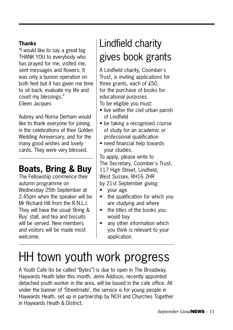#### **Thanks**

"I would like to say a great big THANK YOU to everybody who has prayed for me, visited me, sent messages and flowers. It was only a bunion operation on both feet but it has given me time to sit back, evaluate my life and count my blessings." *Eileen Jacques*

Aubrey and Norna Derham would like to thank everyone for joining in the celebrations of their Golden Wedding Anniversary, and for the many good wishes and lovely cards. They were very blessed.

### **Boats, Bring & Buy**

The Fellowship commence their autumn programme on Wednesday 25th September at 2.45pm when the speaker will be Mr Richard Hill from the R.N.L.I. They will have the usual 'Bring & Buy' stall, and tea and biscuits will be served. New members and visitors will be made most welcome.

## Lindfield charity gives book grants

A Lindfield charity, Coomber's Trust, is inviting applications for three grants, each of £50, for the purchase of books for educational purposes.

To be eligible you must:

- live within the civil urban parish of Lindfield
- be taking a recognised course of study for an academic or professional qualification
- need financial help towards your studies.

To apply, please write to The Secretary, Coomber's Trust, 117 High Street, Lindfield, West Sussex, RH16 2HR by 21st September giving:

- your age
- the qualification for which you are studying and where
- the titles of the books you would buy
- any other information which you think is relevant to your application.

## HH town youth work progress

A Youth Cafe (to be called "Bytes") is due to open in The Broadway, Haywards Heath later this month. Jenni Addison, recently appointed detached youth worker in the area, will be based in the cafe office. All under the banner of 'Streetmate', the service is for young people in Haywards Heath, set up in partnership by NCH and Churches Together in Haywards Heath & District.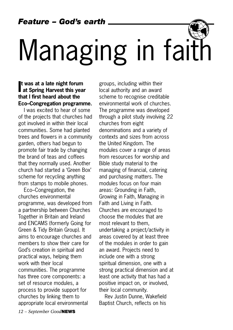*Feature – God's earth*

# Managing in faith

#### **I at Spring Harvest this year t was at a late night forum that I first heard about the Eco–Congregation programme.**

I was excited to hear of some of the projects that churches had got involved in within their local communities. Some had planted trees and flowers in a community garden, others had begun to promote fair trade by changing the brand of teas and coffees that they normally used. Another church had started a 'Green Box' scheme for recycling anything from stamps to mobile phones.

Eco–Congregation, the churches environmental programme, was developed from a partnership between Churches Together in Britain and Ireland and ENCAMS (formerly Going for Green & Tidy Britain Group). It aims to encourage churches and members to show their care for God's creation in spiritual and practical ways, helping them work with their local communities. The programme has three core components: a set of resource modules, a process to provide support for churches by linking them to appropriate local environmental

groups, including within their local authority and an award scheme to recognise creditable environmental work of churches. The programme was developed through a pilot study involving 22 churches from eight denominations and a variety of contexts and sizes from across the United Kingdom. The modules cover a range of areas from resources for worship and Bible study material to the managing of financial, catering and purchasing matters. The modules focus on four main areas: Grounding in Faith, Growing in Faith, Managing in Faith and Living in Faith. Churches are encouraged to choose the modules that are most relevant to them, undertaking a project/activity in areas covered by at least three of the modules in order to gain an award. Projects need to include one with a strong spiritual dimension, one with a strong practical dimension and at least one activity that has had a positive impact on, or involved, their local community.

Rev Justin Dunne, Wakefield Baptist Church, reflects on his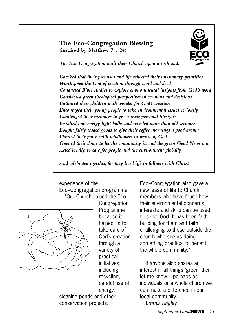#### **The Eco-Congregation Blessing (inspired by Matthew 7 v 24)**



*The Eco-Congregation built their Church upon a rock and:*

*Checked that their premises and life reflected their missionary priorities Worshipped the God of creation through word and deed Conducted Bible studies to explore environmental insights from God's word Considered green theological perspectives in sermons and decisions Enthused their children with wonder for God's creation Encouraged their young people to take environmental issues seriously Challenged their members to green their personal lifestyles Installed low-energy light bulbs and recycled more than old sermons Bought fairly traded goods to give their coffee mornings a good aroma Planted their patch with wildflowers in praise of God Opened their doors to let the community in and the green Good News out Acted locally, to care for people and the environment globally*

*And celebrated together, for they lived life in fullness with Christ*

experience of the Eco–Congregation programme: "Our Church valued the Eco–



Congregation Programme because it helped us to take care of God's creation through a variety of practical initiatives including recycling, careful use of energy,

cleaning ponds and other conservation projects.

Eco–Congregation also gave a new lease of life to Church members who have found how their environmental concerns, interests and skills can be used to serve God. It has been faith building for them and faith challenging to those outside the church who see us doing something practical to benefit the whole community."

If anyone also shares an interest in all things 'green' then let me know – perhaps as individuals or a whole church we can make a difference in our local community. *Emma Tingley*

*September Good***NEWS** *– 13*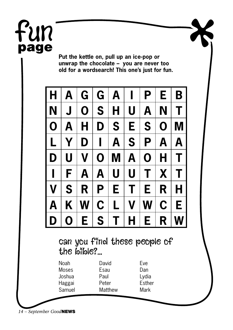## Fun **page**

**Put the kettle on, pull up an ice-pop or unwrap the chocolate – you are never too old for a wordsearch! This one's just for fun.**

| H                                           | A | G                              | G | A |                                      | P | E | B |
|---------------------------------------------|---|--------------------------------|---|---|--------------------------------------|---|---|---|
| N                                           | J | O                              | S | Н | U                                    | A | N | T |
| O                                           | Α | Н                              | D | S | E                                    | S | O | M |
| L                                           | Y | D                              |   | A | S                                    | P | A | A |
| D                                           | U | V                              | O | M | A                                    | O | Н | Τ |
|                                             | F | A                              | A | U | U                                    | Τ | X | Т |
| V                                           | S | R                              | P | Е | Г                                    | Е | R | Н |
| А                                           | Κ | W                              | C | L | V                                    | W | C | Е |
| $\Box$                                      | Ō | Е                              | S | Т | Н                                    | Е | R | W |
| can you finel these people of<br>the bible? |   |                                |   |   |                                      |   |   |   |
| Noah<br>Moses<br>Joshua<br>Haggai<br>Samuel |   | David<br>Esau<br>Paul<br>Peter |   |   | <b>Fve</b><br>Dan<br>Lydia<br>Esther |   |   |   |

*14 – September Good***NEWS**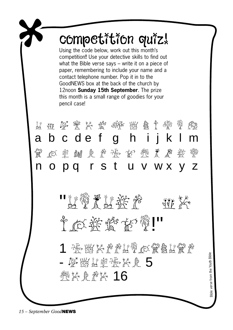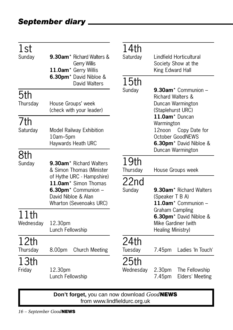| 1st<br>Sunday                                                                                                                          | 9.30am <sup>*</sup> Richard Walters &<br><b>Gerry Willis</b><br>11.0am* Gerry Willis<br>6.30pm <sup>*</sup> David Nibloe & | 14th<br>Saturday  | Lindfield Horticultural<br>Society Show at the<br>King Edward Hall                                                                     |
|----------------------------------------------------------------------------------------------------------------------------------------|----------------------------------------------------------------------------------------------------------------------------|-------------------|----------------------------------------------------------------------------------------------------------------------------------------|
|                                                                                                                                        | David Walters                                                                                                              | 15 <sub>th</sub>  |                                                                                                                                        |
| 5th<br>Thursday                                                                                                                        | House Groups' week<br>(check with your leader)                                                                             | Sunday            | 9.30am <sup>*</sup> Communion -<br><b>Richard Walters &amp;</b><br>Duncan Warmington<br>(Staplehurst URC)                              |
| 7th<br>Saturday                                                                                                                        | <b>Model Railway Exhibition</b><br>10am-5pm<br>Haywards Heath URC                                                          |                   | 11.0am* Duncan<br>Warmington<br>Copy Date for<br>12noon<br>October GoodNEWS<br>6.30pm <sup>*</sup> David Nibloe &<br>Duncan Warmington |
| 8th                                                                                                                                    |                                                                                                                            |                   |                                                                                                                                        |
| Sunday                                                                                                                                 | 9.30am <sup>*</sup> Richard Walters<br>& Simon Thomas (Minister                                                            | 19th<br>Thursday  | House Groups week                                                                                                                      |
| of Hythe URC - Hampshire)<br>11.0am* Simon Thomas<br>6.30pm <sup>*</sup> Communion -<br>David Nibloe & Alan<br>Wharton (Sevenoaks URC) |                                                                                                                            | 22nd<br>Sunday    | 9.30am <sup>*</sup> Richard Walters<br>(Speaker T B A)<br>11.0am <sup>*</sup> Communion -                                              |
| 11th<br>Wednesday                                                                                                                      | 12.30pm<br>Lunch Fellowship                                                                                                |                   | Graham Campling<br>6.30pm <sup>*</sup> David Nibloe &<br>Mike Gardiner (with<br>Healing Ministry)                                      |
| 12th<br>Thursday                                                                                                                       | <b>Church Meeting</b><br>8.00pm                                                                                            | 24th<br>Tuesday   | Ladies 'In Touch'<br>7.45pm                                                                                                            |
| 13th<br>Friday                                                                                                                         | 12.30pm<br>Lunch Fellowship                                                                                                | 25th<br>Wednesday | 2.30pm<br>The Fellowship<br>Elders' Meeting<br>7.45pm                                                                                  |

**Don't forget,** you can now download *Good***NEWS** from www.lindfieldurc.org.uk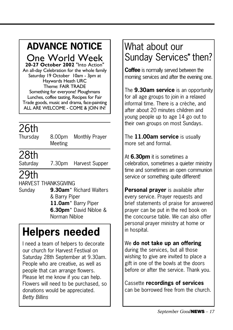## **ADVANCE NOTICE**

One World Week

**20-27 October 2002** "Into Action" An all-day Celebration for the whole family Saturday 19 October 10am - 3pm at Haywards Heath URC Theme: FAIR TRADE Something for everyone! Ploughmans Lunches, coffee tasting, Recipes for Fair Trade goods, music and drama, face-painting ALL ARE WELCOME - COME & JOIN IN!

## 26th

Thursday 8.00pm Monthly Prayer Meeting

### 28th

Saturday 7.30pm Harvest Supper

### 29th

HARVEST THANKSGIVING

Sunday **9.30am**\* Richard Walters & Barry Piper **11.0am**\* Barry Piper **6.30pm**\* David Nibloe & Norman Nibloe

## **Helpers needed**

I need a team of helpers to decorate our church for Harvest Festival on Saturday 28th September at 9.30am. People who are creative, as well as people that can arrange flowers. Please let me know if you can help. Flowers will need to be purchased, so donations would be appreciated. *Betty Billins*

### What about our Sunday Services\* then?

**Coffee** is normally served between the morning services and after the evening one.

The **9.30am service** is an opportunity for all age groups to join in a relaxed informal time. There is a crèche, and after about 20 minutes children and young people up to age 14 go out to their own groups on most Sundays.

The **11.00am service** is usually more set and formal.

At **6.30pm** it is sometimes a celebration, sometimes a quieter ministry time and sometimes an open communion service or something quite different!

**Personal prayer** is available after every service. Prayer requests and brief statements of praise for answered prayer can be put in the red book on the concourse table. We can also offer personal prayer ministry at home or in hospital.

#### We **do not take up an offering**

during the services, but all those wishing to give are invited to place a gift in one of the bowls at the doors before or after the service. Thank you.

Cassette **recordings of services** can be borrowed free from the church.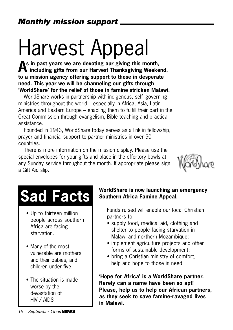## Harvest Appeal

**As in past years we are devoting our giving this month, including gifts from our Harvest Thanksgiving Weekend, to a mission agency offering support to those in desperate need. This year we will be channeling our gifts through 'WorldShare' for the relief of those in famine stricken Malawi.**

WorldShare works in partnership with indigenous, self–governing ministries throughout the world – especially in Africa, Asia, Latin America and Eastern Europe – enabling them to fulfill their part in the Great Commission through evangelism, Bible teaching and practical assistance.

Founded in 1943, WorldShare today serves as a link in fellowship, prayer and financial support to partner ministries in over 50 countries.

There is more information on the mission display. Please use the special envelopes for your gifts and place in the offertory bowls at any Sunday service throughout the month. If appropriate please sign a Gift Aid slip.



## **Sad Facts**

- Up to thirteen million people across southern Africa are facing starvation.
- Many of the most vulnerable are mothers and their babies, and children under five.
- The situation is made worse by the devastation of HIV / AIDS

#### **WorldShare is now launching an emergency Southern Africa Famine Appeal.**

Funds raised will enable our local Christian partners to:

- supply food, medical aid, clothing and shelter to people facing starvation in Malawi and northern Mozambique;
- implement agriculture projects and other forms of sustainable development;
- bring a Christian ministry of comfort. help and hope to those in need.

**'Hope for Africa' is a WorldShare partner. Rarely can a name have been so apt! Please, help us to help our African partners, as they seek to save famine-ravaged lives in Malawi.**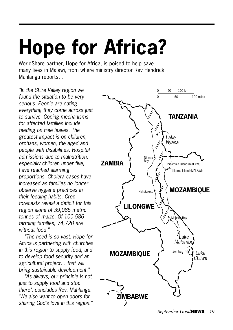## **Hope for Africa?**

WorldShare partner, Hope for Africa, is poised to help save many lives in Malawi, from where ministry director Rev Hendrick Mahlangu reports…

*"In the Shire Valley region we found the situation to be very serious. People are eating everything they come across just to survive. Coping mechanisms for affected families include feeding on tree leaves. The greatest impact is on children, orphans, women, the aged and people with disabilities. Hospital admissions due to malnutrition, especially children under five, have reached alarming proportions. Cholera cases have increased as families no longer observe hygiene practices in their feeding habits. Crop forecasts reveal a deficit for this region alone of 39,085 metric tonnes of maize. Of 100,586 farming families, 74,720 are without food."*

*"The need is so vast. Hope for Africa is partnering with churches in this region to supply food, and to develop food security and an agricultural project… that will bring sustainable development."*

*"As always, our principle is not just to supply food and stop there", concludes Rev. Mahlangu. "We also want to open doors for sharing God's love in this region."*

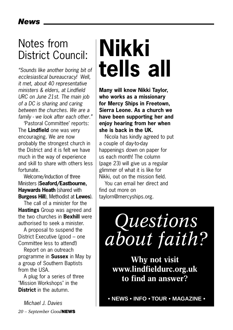## Notes from District Council:

*"Sounds like another boring bit of ecclesiastical bureaucracy! Well, it met, about 40 representative ministers & elders, at Lindfield URC on June 21st. The main job of a DC is sharing and caring between the churches. We are a family - we look after each other."*

'Pastoral Committee' reports: The **Lindfield** one was very encouraging. We are now probably the strongest church in the District and it is felt we have much in the way of experience and skill to share with others less fortunate.

Welcome/induction of three Ministers (**Seaford/Eastbourne, Haywards Heath** (shared with **Burgess Hill**), Methodist at **Lewes**).

The call of a minister for the **Hastings** Group was agreed and the two churches in **Bexhill** were authorised to seek a minister.

A proposal to suspend the District Executive (good – one Committee less to attend!)

Report on an outreach programme in **Sussex** in May by a group of Southern Baptists from the USA.

A plug for a series of three "Mission Workshops" in the **District** in the autumn.

*20 – September Good***NEWS** *Michael J. Davies*

## **Nikki tells all**

**Many will know Nikki Taylor, who works as a missionary for Mercy Ships in Freetown, Sierra Leone. As a church we have been supporting her and enjoy hearing from her when she is back in the UK.** 

Nicola has kindly agreed to put a couple of day-to-day happenings down on paper for us each month! The column (page 23) will give us a regular glimmer of what it is like for Nikki, out on the mission field.

You can email her direct and find out more on taylorn@mercyships.org.

## *Questions about faith?*

**Why not visit www.lindfieldurc.org.uk to find an answer?**

**• NEWS • INFO • TOUR • MAGAZINE •**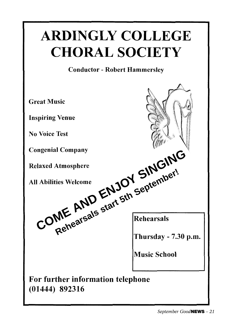## **ARDINGLY COLLEGE CHORAL SOCIETY**

#### **Conductor - Robert Hammerslev**

**Great Music Inspiring Venue No Voice Test** Plaxed Atmosphere<br> **LAbilities Welcome**<br> **COME** AND ENJOY September!<br>
COME AND Etart 5th September! **Music School** For further information telephone  $(01444)$  892316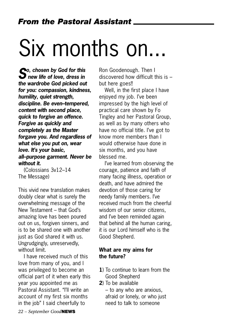## Six months on...

*So, chosen by God for this new life of love, dress in the wardrobe God picked out for you: compassion, kindness, humility, quiet strength, discipline. Be even–tempered, content with second place, quick to forgive an offence. Forgive as quickly and completely as the Master forgave you. And regardless of what else you put on, wear love. It's your basic, all–purpose garment. Never be without it.* 

(Colossians 3v12–14 The Message)

This vivid new translation makes doubly clear what is surely the overwhelming message of the New Testament – that God's amazing love has been poured out on us, forgiven sinners, and is to be shared one with another just as God shared it with us. Ungrudgingly, unreservedly, without limit

I have received much of this love from many of you, and I was privileged to become an official part of it when early this year you appointed me as Pastoral Assistant. "I'll write an account of my first six months in the job" I said cheerfully to

Ron Goodenough. Then I discovered how difficult this is – but here goes!!

Well, in the first place I have enjoyed my job. I've been impressed by the high level of practical care shown by Fo Tingley and her Pastoral Group, as well as by many others who have no official title. I've got to know more members than I would otherwise have done in six months, and you have blessed me.

I've learned from observing the courage, patience and faith of many facing illness, operation or death, and have admired the devotion of those caring for needy family members. I've received much from the cheerful wisdom of our senior citizens, and I've been reminded again that behind all the human caring, it is our Lord himself who is the Good Shepherd.

#### **What are my aims for the future?**

- **1**) To continue to learn from the Good Shepherd
- **2**) To be available

– to any who are anxious, afraid or lonely, or who just need to talk to someone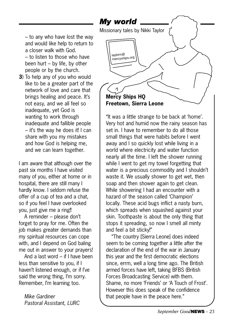– to any who have lost the way and would like help to return to a closer walk with God. – to listen to those who have been hurt – by life, by other people or by the church.

**3**) To help any of you who would like to be a greater part of the network of love and care that brings healing and peace. It's not easy, and we all feel so inadequate, yet God is wanting to work through inadequate and fallible people – it's the way he does it! I can share with you my mistakes and how God is helping me, and we can learn together.

I am aware that although over the past six months I have visited many of you, either at home or in hospital, there are still many I hardly know. I seldom refuse the offer of a cup of tea and a chat, so if you feel I have overlooked you, just give me a ring!!

A reminder – please don't forget to pray for me. Often the job makes greater demands than my spiritual resources can cope with, and I depend on God baling me out in answer to your prayers!

And a last word – if I have been less than sensitive to you, if I haven't listened enough, or if I've said the wrong thing, I'm sorry. Remember, I'm learning too.

*Mike Gardiner Pastoral Assistant, LURC*



"It was a little strange to be back at 'home'. Very hot and humid now the rainy season has set in. I have to remember to do all those small things that were habits before I went away and I so quickly lost while living in a world where electricity and water function nearly all the time. I left the shower running while I went to get my towel forgetting that water is a precious commodity and I shouldn't waste it. We usually shower to get wet, then soap and then shower again to get clean. While showering I had an encounter with a hazard of the season called 'Champion' locally. These acid bugs inflict a nasty burn, which spreads when squashed against your skin. Toothpaste is about the only thing that stops it spreading, so now I smell all minty and feel a bit sticky!"

"The country [Sierra Leone] does indeed seem to be coming together a little after the declaration of the end of the war in January this year and the first democratic elections since, errm, well a long time ago. The British armed forces have left, taking BFBS (British Forces Broadcasting Service) with them. Shame, no more 'Friends' or 'A Touch of Frost'. However this does speak of the confidence that people have in the peace here."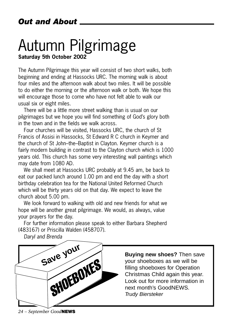### Autumn Pilgrimage **Saturday 5th October 2002**

The Autumn Pilgrimage this year will consist of two short walks, both beginning and ending at Hassocks URC. The morning walk is about four miles and the afternoon walk about two miles. It will be possible to do either the morning or the afternoon walk or both. We hope this will encourage those to come who have not felt able to walk our usual six or eight miles.

There will be a little more street walking than is usual on our pilgrimages but we hope you will find something of God's glory both in the town and in the fields we walk across.

Four churches will be visited, Hassocks URC, the church of St Francis of Assisi in Hassocks, St Edward R C church in Keymer and the church of St John–the–Baptist in Clayton. Keymer church is a fairly modern building in contrast to the Clayton church which is 1000 years old. This church has some very interesting wall paintings which may date from 1080 AD.

We shall meet at Hassocks URC probably at 9.45 am, be back to eat our packed lunch around 1.00 pm and end the day with a short birthday celebration tea for the National United Reformed Church which will be thirty years old on that day. We expect to leave the church about 5.00 pm.

We look forward to walking with old and new friends for what we hope will be another great pilgrimage. We would, as always, value your prayers for the day.

For further information please speak to either Barbara Shepherd (483167) or Priscilla Walden (458707).

*Daryl and Brenda*



**Buying new shoes?** Then save your shoeboxes as we will be filling shoeboxes for Operation Christmas Child again this year. Look out for more information in next month's GoodNEWS. Trudy Biersteker

*24 – September Good***NEWS**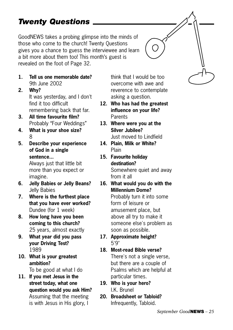### *Twenty Questions*

GoodNEWS takes a probing glimpse into the minds of those who come to the church! Twenty Questions gives you a chance to guess the interviewee and learn a bit more about them too! This month's guest is revealed on the foot of Page 32.

- **1. Tell us one memorable date?** 9th June 2002
- **2. Why?** It was yesterday, and I don't find it too difficult remembering back that far.
- **3. All time favourite film?** Probably "Four Weddings"
- **4. What is your shoe size?** 8
- **5. Describe your experience of God in a single sentence...**

Always just that little bit more than you expect or imagine.

- **6. Jelly Babies or Jelly Beans?** Jelly Babies
- **7. Where is the furthest place that you have ever worked?** Dundee (for 1 week)
- **8. How long have you been coming to this church?** 25 years, almost exactly
- **9. What year did you pass your Driving Test?** 1989
- **10. What is your greatest ambition?**

To be good at what I do

**11. If you met Jesus in the street today, what one question would you ask Him?** Assuming that the meeting is with Jesus in His glory, I

think that I would be too overcome with awe and reverence to contemplate asking a question.

- **12. Who has had the greatest influence on your life? Parents**
- **13. Where were you at the Silver Jubilee?** Just moved to Lindfield
- **14. Plain, Milk or White?** Plain
- **15. Favourite holiday destination?** Somewhere quiet and away from it all
- **16. What would you do with the Millennium Dome?**

Probably turn it into some form of leisure or amusement place, but above all try to make it someone else's problem as soon as possible.

- **17. Approximate height?** 5'9"
- **18. Most-read Bible verse?** There's not a single verse, but there are a couple of Psalms which are helpful at particular times.
- **19. Who is your hero?** I.K. Brunel
- **20. Broadsheet or Tabloid?** Infrequently, Tabloid.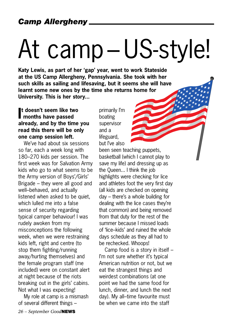# At camp – US-style!

**Katy Lewis, as part of her 'gap' year, went to work Stateside at the US Camp Allergheny, Pennsylvania. She took with her such skills as sailing and lifesaving, but it seems she will have learnt some new ones by the time she returns home for University. This is her story...**

#### **I months have passed t doesn't seem like two already, and by the time you read this there will be only one camp session left.**

We've had about six sessions so far, each a week long with 180–270 kids per session. The first week was for Salvation Army kids who go to what seems to be the Army version of Boys'/Girls' Brigade – they were all good and well–behaved, and actually listened when asked to be quiet, which lulled me into a false sense of security regarding typical camper behaviour! I was rudely awoken from my misconceptions the following week, when we were restraining kids left, right and centre (to stop them fighting/running away/hurting themselves) and the female program staff (me included) were on constant alert at night because of the riots breaking out in the girls' cabins. Not what I was expecting!

My role at camp is a mismash of several different things –

primarily I'm boating supervisor and a lifeguard, but I've also

been seen teaching puppets, basketball (which I cannot play to save my life) and dressing up as the Queen... I think the job highlights were checking for lice and athletes foot the very first day (all kids are checked on opening day – there's a whole building for dealing with the lice cases they're that common) and being removed from that duty for the rest of the summer because I missed loads of 'lice–kids' and ruined the whole days schedule as they all had to be rechecked. Whoops!

Camp food is a story in itself – I'm not sure whether it's typical American nutrition or not, but we eat the strangest things and weirdest combinations (at one point we had the same food for lunch, dinner, and lunch the next day). My all–time favourite must be when we came into the staff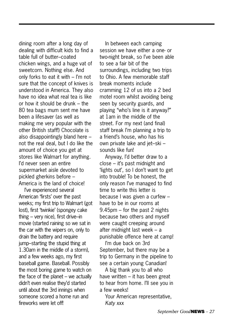dining room after a long day of dealing with difficult kids to find a table full of butter–coated chicken wings, and a huge vat of sweetcorn. Nothing else. And only forks to eat it with – I'm not sure that the concept of knives is understood in America. They also have no idea what real tea is like or how it should be drunk – the 80 tea bags mum sent me have been a lifesaver (as well as making me very popular with the other British staff!) Chocolate is also disappointingly bland here – not the real deal, but I do like the amount of choice you get at stores like Walmart for anything. I'd never seen an entire supermarket aisle devoted to pickled gherkins before – America is the land of choice!

I've experienced several American 'firsts' over the past weeks; my first trip to Walmart (got lost), first 'twinkie' (spongey cake thing – very nice), first drive–in movie (started raining so we sat in the car with the wipers on, only to drain the battery and require jump–starting the stupid thing at 1.30am in the middle of a storm), and a few weeks ago, my first baseball game. Baseball. Possibly the most boring game to watch on the face of the planet – we actually didn't even realise they'd started until about the 3rd innings when someone scored a home run and fireworks were let off!

In between each camping session we have either a one- or two-night break, so I've been able to see a fair bit of the surroundings, including two trips to Ohio. A few memorable staff break moments include cramming 12 of us into a 2 bed motel room whilst avoiding being seen by security guards, and playing "who's line is it anyway?" at 1am in the middle of the street. For my next (and final) staff break I'm planning a trip to a friend's house, who has his own private lake and jet–ski – sounds like fun!

Anyway, I'd better draw to a close – it's past midnight and 'lights out', so I don't want to get into trouble! To be honest, the only reason I've managed to find time to write this letter is because I was given a curfew – have to be in our rooms at 9.45pm – for the past 2 nights because two others and myself were caught creeping around after midnight last week – a punishable offence here at camp!

I'm due back on 3rd September, but there may be a trip to Germany in the pipeline to see a certain young Canadian!

A big thank you to all who have written – it has been great to hear from home. I'll see you in a few weeks!

Your American representative, *Katy xxx*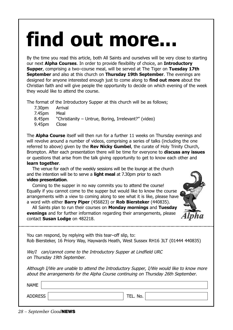## find out more.

By the time you read this article, both All Saints and ourselves will be very close to starting our next **Alpha Courses**. In order to provide flexibility of choice, an **Introductory Supper**, comprising a two–course meal, will be served at The Tiger on **Tuesday 17th September** and also at this church on **Thursday 19th September**. The evenings are designed for anyone interested enough just to come along to **find out more** about the Christian faith and will give people the opportunity to decide on which evening of the week they would like to attend the course.

The format of the Introductory Supper at this church will be as follows;

- 7.30pm Arrival
- 7.45pm Meal
- 8.45pm "Christianity Untrue, Boring, Irrelevant?" (video)
- 9.45pm Close

The **Alpha Course** itself will then run for a further 11 weeks on Thursday evenings and will revolve around a number of videos, comprising a series of talks (including the one referred to above) given by the **Rev Nicky Gumbel**, the curate of Holy Trinity Church, Brompton. After each presentation there will be time for everyone to **discuss any issues** or questions that arise from the talk giving opportunity to get to know each other and

#### **learn together**.

The venue for each of the weekly sessions will be the lounge at the church and the intention will be to serve a **light meal** at 7.30pm prior to each

#### **video presentation**.

Coming to the supper in no way commits you to attend the course! Equally if you cannot come to the supper but would like to know the course arrangements with a view to coming along to see what it is like, please have a word with either **Barry Piper** (456823) or **Rob Biersteker** (440835).

All Saints plan to run their courses on **Monday mornings** and **Tuesday evenings** and for further information regarding their arrangements, please contact **Susan Lodge** on 482218.



You can respond, by replying with this tear–off slip, to: Rob Biersteker, 16 Priory Way, Haywards Heath, West Sussex RH16 3LT (01444 440835)

We/I can/cannot come to the Introductory Supper at Lindfield URC on Thursday 19th September.

Although I/We are unable to attend the Introductory Supper, I/We would like to know more about the arrangements for the Alpha Course continuing on Thursday 26th September.

| <b>NAME</b>    |                  |  |
|----------------|------------------|--|
| <b>ADDRESS</b> | TEL. No.<br>TEL. |  |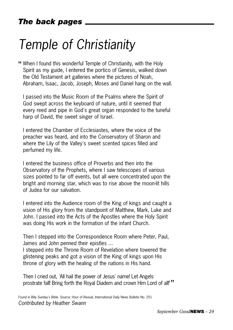## *Temple of Christianity*

"When I found this wonderful Temple of Christianity, with the Holy<br>Spirit as my guide, Lontared the perties of Canacis, well added Spirit as my guide, I entered the portico of Genesis, walked down the Old Testament art galleries where the pictures of Noah, Abraham, Isaac, Jacob, Joseph, Moses and Daniel hang on the wall.

I passed into the Music Room of the Psalms where the Spirit of God swept across the keyboard of nature, until it seemed that every reed and pipe in God's great organ responded to the tuneful harp of David, the sweet singer of Israel.

I entered the Chamber of Ecclesiastes, where the voice of the preacher was heard, and into the Conservatory of Sharon and where the Lily of the Valley's sweet scented spices filled and perfumed my life.

I entered the business office of Proverbs and then into the Observatory of the Prophets, where I saw telescopes of various sizes pointed to far off events, but all were concentrated upon the bright and morning star, which was to rise above the moon-lit hills of Judea for our salvation.

I entered into the Audience room of the King of kings and caught a vision of His glory from the standpoint of Matthew, Mark, Luke and John. I passed into the Acts of the Apostles where the Holy Spirit was doing His work in the formation of the infant Church.

Then I stepped into the Correspondence Room where Peter, Paul, James and John penned their epistles ...

I stepped into the Throne Room of Revelation where towered the glistening peaks and got a vision of the King of kings upon His throne of glory with the healing of the nations in His hand.

Then I cried out, 'All hail the power of Jesus' name! Let Angels prostrate fall! Bring forth the Royal Diadem and crown Him Lord of all!'"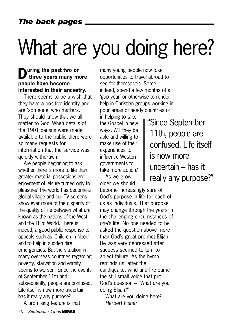## What are you doing here?

#### **During the past two or three years many more people have become interested in their ancestry.**

There seems to be a wish that they have a positive identity and are 'someone' who matters. They should know that we all matter to God! When details of the 1901 census were made available to the public there were so many requests for information that the service was quickly withdrawn.

Are people beginning to ask whether there is more to life than greater material possesions and enjoyment of leisure turned only to pleasure? The world has become a global village and our TV screens show ever more of the disparity of the quality of life between what are known as the nations of the West and the Third World. There is, indeed, a good public response to appeals such as 'Children in Need' and to help in sudden dire emergencies. But the situation in many overseas countries regarding poverty, starvation and enmity seems to worsen. Since the events of September 11th and subsequently, people are confused. Life itself is now more uncertain – has it really any purpose?

*30 – September Good***NEWS** A promising feature is that many young people now take opportunities to travel abroad to see for themselves. Some, indeed, spend a few months of a 'gap year' or otherwise to render help in Christian groups working in poor areas of needy countries or

in helping to take the Gospel in new ways. Will they be able and willing to make use of their experiences to influence Western governments to take more action?

As we grow older we should

become increasingly sure of God's purpose in life for each of us as individuals. That purpose may change through the years in the challenging circumstances of one's life. No one needed to be asked the question above more than God's great prophet Elijah. He was very depressed after success seemed to turn to abject failure. As the hymn reminds us, after the earthquake, wind and fire came the still small voice that put God's question – "What are you doing Elijah?"

What are you doing here? *Herbert Fisher*

"Since September 11th, people are confused. Life itself is now more uncertain – has it really any purpose?"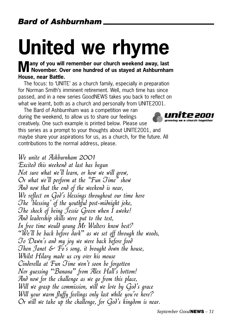## **United we rhyme**

**Many of you will remember our church weekend away, last**<br> **November.** Over one hundred of us stayed at Ashburnham **House, near Battle.** 

The focus: to 'UNITE' as a church family, especially in preparation for Norman Smith's imminent retirement. Well, much time has since passed, and in a new series GoodNEWS takes you back to reflect on what we learnt, both as a church and personally from UNITE2001.

The Bard of Ashburnham was a competition we ran during the weekend, to allow us to share our feelings creatively. One such example is printed below. Please use this series as a prompt to your thoughts about UNITE2001, and maybe share your aspirations for us, as a church, for the future. All contributions to the normal address, please.

We unite at Ashburnham 2001 Excited this weekend at last has begun Not sure what we'll learn, or how we will grow, Or what we'll perform at the "Fun Time" show And now that the end of the weekend is near, We reflect on God's blessings throughout our time here The 'blessing' of the youthful post-midnight joke, The shock of being Jessie Green when I awoke! And leadership skills were put to the test, In free time would young Mr Walters know best? "We'll be back before dark" as we set off through the woods, To Dawn's and my joy we were back before food Then Janet  $\mathcal{E}$  Fo's song, it brought down the house, Whilst Hilary made us cry over his mouse Cinderella at Fun Time won't soon be forgotten Nor guessing "Banana" from Alex Hall's bottom! And now for the challenge as we go from this place, Will we grasp the commission, will we love by God's grace Will your warm fluffy feelings only last while you're here? Or will we take up the challenge, for God's kingdom is near.